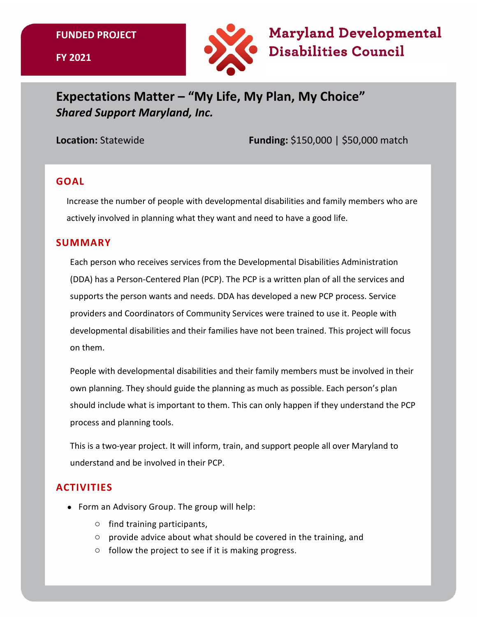#### **FUNDED PROJECT**





# **Expectations Matter – "My Life, My Plan, My Choice"**  *Shared Support Maryland, Inc.*

**Location:** Statewide **Funding:** \$150,000 | \$50,000 match

### **GOAL**

Increase the number of people with developmental disabilities and family members who are actively involved in planning what they want and need to have a good life.

#### **SUMMARY**

Each person who receives services from the Developmental Disabilities Administration (DDA) has a Person-Centered Plan (PCP). The PCP is a written plan of all the services and supports the person wants and needs. DDA has developed a new PCP process. Service providers and Coordinators of Community Services were trained to use it. People with developmental disabilities and their families have not been trained. This project will focus on them.

People with developmental disabilities and their family members must be involved in their own planning. They should guide the planning as much as possible. Each person's plan should include what is important to them. This can only happen if they understand the PCP process and planning tools.

This is a two-year project. It will inform, train, and support people all over Maryland to understand and be involved in their PCP.

## **ACTIVITIES**

- Form an Advisory Group. The group will help:
	- o find training participants,
	- o provide advice about what should be covered in the training, and
	- o follow the project to see if it is making progress.